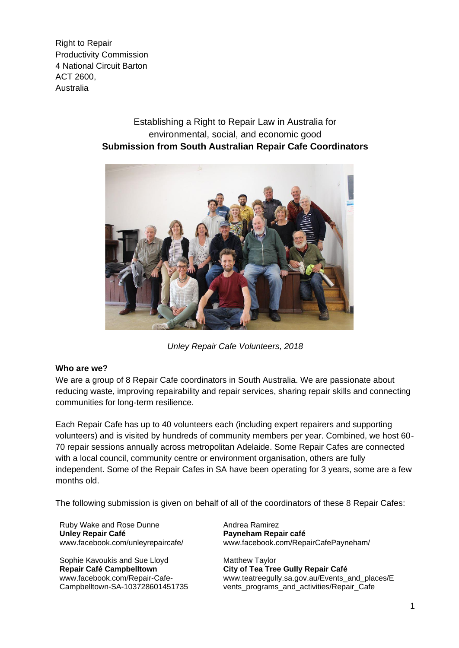Right to Repair Productivity Commission 4 National Circuit Barton ACT 2600, Australia

## Establishing a Right to Repair Law in Australia for environmental, social, and economic good **Submission from South Australian Repair Cafe Coordinators**



*Unley Repair Cafe Volunteers, 2018*

#### **Who are we?**

We are a group of 8 Repair Cafe coordinators in South Australia. We are passionate about reducing waste, improving repairability and repair services, sharing repair skills and connecting communities for long-term resilience.

Each Repair Cafe has up to 40 volunteers each (including expert repairers and supporting volunteers) and is visited by hundreds of community members per year. Combined, we host 60- 70 repair sessions annually across metropolitan Adelaide. Some Repair Cafes are connected with a local council, community centre or environment organisation, others are fully independent. Some of the Repair Cafes in SA have been operating for 3 years, some are a few months old.

The following submission is given on behalf of all of the coordinators of these 8 Repair Cafes:

Ruby Wake and Rose Dunne **Unley Repair Café**  www.facebook.com/unleyrepaircafe/

Sophie Kavoukis and Sue Lloyd **Repair Café Campbelltown** www.facebook.com/Repair-Cafe-Campbelltown-SA-103728601451735 Andrea Ramirez **Payneham Repair café**  www.facebook.com/RepairCafePayneham/

Matthew Taylor **City of Tea Tree Gully Repair Café** www.teatreegully.sa.gov.au/Events\_and\_places/E vents programs and activities/Repair Cafe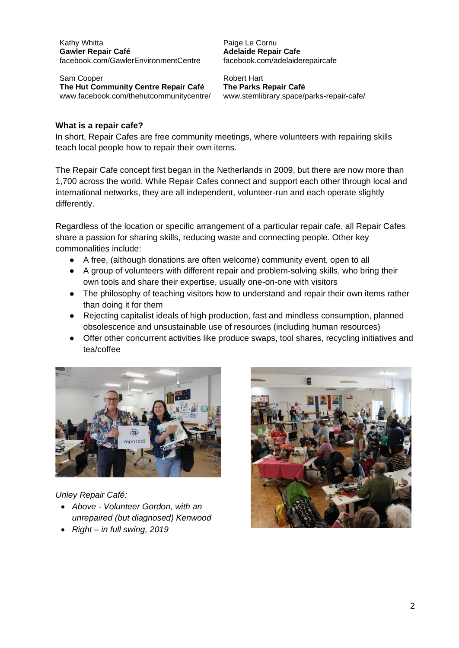Kathy Whitta **Gawler Repair Café** [facebook.com/GawlerEnvironmentCentre](https://www.facebook.com/GawlerEnvironmentCentre)

Sam Cooper **The Hut Community Centre Repair Café** www[.facebook.com/thehutcommunitycentre/](https://www.facebook.com/thehutcommunitycentre/) Paige Le Cornu **Adelaide Repair Cafe** [facebook.com/adelaiderepaircafe](about:blank)

Robert Hart **The Parks Repair Café** www.stemlibrary.space/parks-repair-cafe/

#### **What is a repair cafe?**

In short, Repair Cafes are free community meetings, where volunteers with repairing skills teach local people how to repair their own items.

The Repair Cafe concept first began in the Netherlands in 2009, but there are now more than 1,700 across the world. While Repair Cafes connect and support each other through local and international networks, they are all independent, volunteer-run and each operate slightly differently.

Regardless of the location or specific arrangement of a particular repair cafe, all Repair Cafes share a passion for sharing skills, reducing waste and connecting people. Other key commonalities include:

- A free, (although donations are often welcome) community event, open to all
- A group of volunteers with different repair and problem-solving skills, who bring their own tools and share their expertise, usually one-on-one with visitors
- The philosophy of teaching visitors how to understand and repair their own items rather than doing it for them
- Rejecting capitalist ideals of high production, fast and mindless consumption, planned obsolescence and unsustainable use of resources (including human resources)
- Offer other concurrent activities like produce swaps, tool shares, recycling initiatives and tea/coffee



*Unley Repair Café:*

- *Above - Volunteer Gordon, with an unrepaired (but diagnosed) Kenwood*
- *Right – in full swing, 2019*

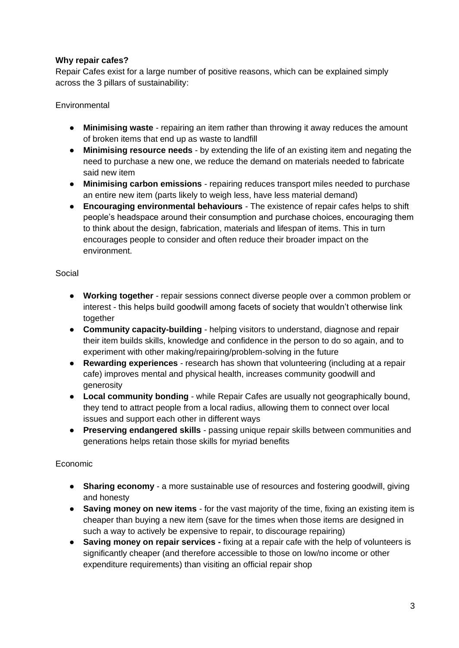### **Why repair cafes?**

Repair Cafes exist for a large number of positive reasons, which can be explained simply across the 3 pillars of sustainability:

**Environmental** 

- **Minimising waste** repairing an item rather than throwing it away reduces the amount of broken items that end up as waste to landfill
- **Minimising resource needs** by extending the life of an existing item and negating the need to purchase a new one, we reduce the demand on materials needed to fabricate said new item
- **Minimising carbon emissions** repairing reduces transport miles needed to purchase an entire new item (parts likely to weigh less, have less material demand)
- **Encouraging environmental behaviours** The existence of repair cafes helps to shift people's headspace around their consumption and purchase choices, encouraging them to think about the design, fabrication, materials and lifespan of items. This in turn encourages people to consider and often reduce their broader impact on the environment.

### Social

- **Working together** repair sessions connect diverse people over a common problem or interest - this helps build goodwill among facets of society that wouldn't otherwise link together
- **Community capacity-building** helping visitors to understand, diagnose and repair their item builds skills, knowledge and confidence in the person to do so again, and to experiment with other making/repairing/problem-solving in the future
- **Rewarding experiences**  research has shown that volunteering (including at a repair cafe) improves mental and physical health, increases community goodwill and generosity
- **Local community bonding** while Repair Cafes are usually not geographically bound, they tend to attract people from a local radius, allowing them to connect over local issues and support each other in different ways
- **Preserving endangered skills** passing unique repair skills between communities and generations helps retain those skills for myriad benefits

## Economic

- **Sharing economy** a more sustainable use of resources and fostering goodwill, giving and honesty
- **Saving money on new items** for the vast majority of the time, fixing an existing item is cheaper than buying a new item (save for the times when those items are designed in such a way to actively be expensive to repair, to discourage repairing)
- **Saving money on repair services -** fixing at a repair cafe with the help of volunteers is significantly cheaper (and therefore accessible to those on low/no income or other expenditure requirements) than visiting an official repair shop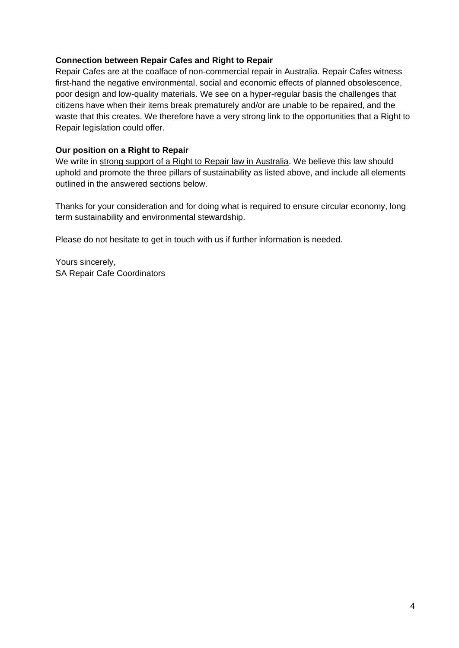#### **Connection between Repair Cafes and Right to Repair**

Repair Cafes are at the coalface of non-commercial repair in Australia. Repair Cafes witness first-hand the negative environmental, social and economic effects of planned obsolescence, poor design and low-quality materials. We see on a hyper-regular basis the challenges that citizens have when their items break prematurely and/or are unable to be repaired, and the waste that this creates. We therefore have a very strong link to the opportunities that a Right to Repair legislation could offer.

#### **Our position on a Right to Repair**

We write in strong support of a Right to Repair law in Australia. We believe this law should uphold and promote the three pillars of sustainability as listed above, and include all elements outlined in the answered sections below.

Thanks for your consideration and for doing what is required to ensure circular economy, long term sustainability and environmental stewardship.

Please do not hesitate to get in touch with us if further information is needed.

Yours sincerely, SA Repair Cafe Coordinators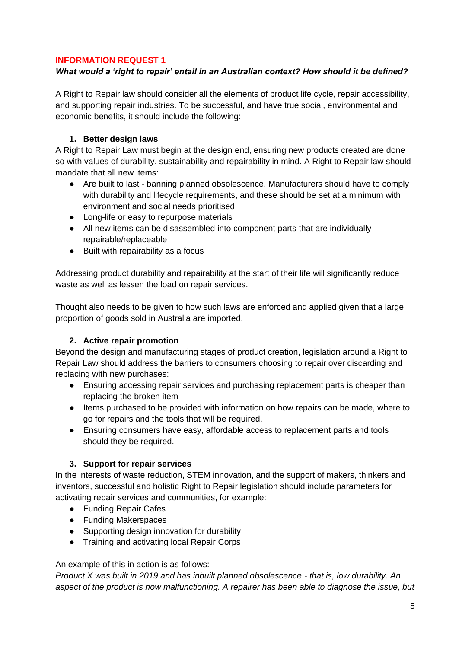#### **INFORMATION REQUEST 1**

#### *What would a 'right to repair' entail in an Australian context? How should it be defined?*

A Right to Repair law should consider all the elements of product life cycle, repair accessibility, and supporting repair industries. To be successful, and have true social, environmental and economic benefits, it should include the following:

#### **1. Better design laws**

A Right to Repair Law must begin at the design end, ensuring new products created are done so with values of durability, sustainability and repairability in mind. A Right to Repair law should mandate that all new items:

- Are built to last banning planned obsolescence. Manufacturers should have to comply with durability and lifecycle requirements, and these should be set at a minimum with environment and social needs prioritised.
- Long-life or easy to repurpose materials
- All new items can be disassembled into component parts that are individually repairable/replaceable
- Built with repairability as a focus

Addressing product durability and repairability at the start of their life will significantly reduce waste as well as lessen the load on repair services.

Thought also needs to be given to how such laws are enforced and applied given that a large proportion of goods sold in Australia are imported.

### **2. Active repair promotion**

Beyond the design and manufacturing stages of product creation, legislation around a Right to Repair Law should address the barriers to consumers choosing to repair over discarding and replacing with new purchases:

- Ensuring accessing repair services and purchasing replacement parts is cheaper than replacing the broken item
- Items purchased to be provided with information on how repairs can be made, where to go for repairs and the tools that will be required.
- Ensuring consumers have easy, affordable access to replacement parts and tools should they be required.

### **3. Support for repair services**

In the interests of waste reduction, STEM innovation, and the support of makers, thinkers and inventors, successful and holistic Right to Repair legislation should include parameters for activating repair services and communities, for example:

- Funding Repair Cafes
- Funding Makerspaces
- Supporting design innovation for durability
- Training and activating local Repair Corps

#### An example of this in action is as follows:

*Product X was built in 2019 and has inbuilt planned obsolescence - that is, low durability. An aspect of the product is now malfunctioning. A repairer has been able to diagnose the issue, but*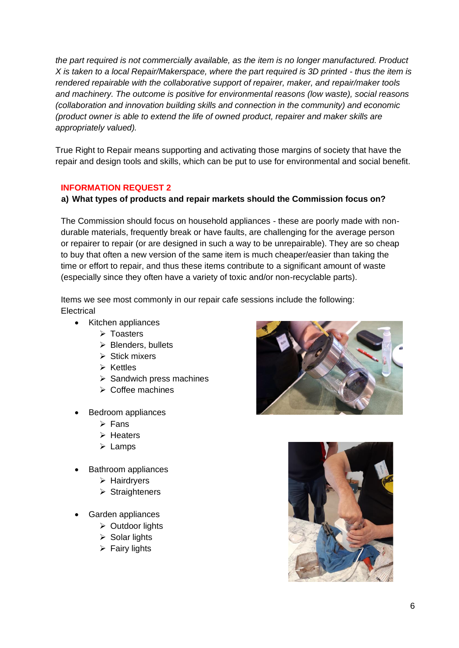*the part required is not commercially available, as the item is no longer manufactured. Product X is taken to a local Repair/Makerspace, where the part required is 3D printed - thus the item is rendered repairable with the collaborative support of repairer, maker, and repair/maker tools and machinery. The outcome is positive for environmental reasons (low waste), social reasons (collaboration and innovation building skills and connection in the community) and economic (product owner is able to extend the life of owned product, repairer and maker skills are appropriately valued).*

True Right to Repair means supporting and activating those margins of society that have the repair and design tools and skills, which can be put to use for environmental and social benefit.

### **INFORMATION REQUEST 2**

#### **a) What types of products and repair markets should the Commission focus on?**

The Commission should focus on household appliances - these are poorly made with nondurable materials, frequently break or have faults, are challenging for the average person or repairer to repair (or are designed in such a way to be unrepairable). They are so cheap to buy that often a new version of the same item is much cheaper/easier than taking the time or effort to repair, and thus these items contribute to a significant amount of waste (especially since they often have a variety of toxic and/or non-recyclable parts).

Items we see most commonly in our repair cafe sessions include the following: **Electrical** 

- Kitchen appliances
	- ➢ Toasters
	- ➢ Blenders, bullets
	- ➢ Stick mixers
	- ➢ Kettles
	- ➢ Sandwich press machines
	- ➢ Coffee machines
- Bedroom appliances
	- ➢ Fans
	- ➢ Heaters
	- ➢ Lamps
- Bathroom appliances
	- ➢ Hairdryers
	- ➢ Straighteners
- Garden appliances
	- ➢ Outdoor lights
	- $\triangleright$  Solar lights
	- $\triangleright$  Fairy lights



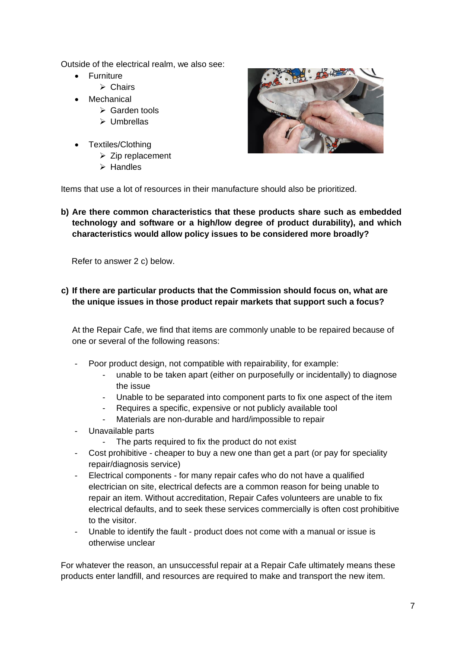Outside of the electrical realm, we also see:

- Furniture
	- ➢ Chairs
	- **Mechanical** 
		- ➢ Garden tools
		- ➢ Umbrellas
- Textiles/Clothing
	- ➢ Zip replacement
	- ➢ Handles



Items that use a lot of resources in their manufacture should also be prioritized.

**b) Are there common characteristics that these products share such as embedded technology and software or a high/low degree of product durability), and which characteristics would allow policy issues to be considered more broadly?**

Refer to answer 2 c) below.

**c) If there are particular products that the Commission should focus on, what are the unique issues in those product repair markets that support such a focus?**

At the Repair Cafe, we find that items are commonly unable to be repaired because of one or several of the following reasons:

- Poor product design, not compatible with repairability, for example:
	- unable to be taken apart (either on purposefully or incidentally) to diagnose the issue
	- Unable to be separated into component parts to fix one aspect of the item
	- Requires a specific, expensive or not publicly available tool
	- Materials are non-durable and hard/impossible to repair
- Unavailable parts
	- The parts required to fix the product do not exist
- Cost prohibitive cheaper to buy a new one than get a part (or pay for speciality repair/diagnosis service)
- Electrical components for many repair cafes who do not have a qualified electrician on site, electrical defects are a common reason for being unable to repair an item. Without accreditation, Repair Cafes volunteers are unable to fix electrical defaults, and to seek these services commercially is often cost prohibitive to the visitor.
- Unable to identify the fault product does not come with a manual or issue is otherwise unclear

For whatever the reason, an unsuccessful repair at a Repair Cafe ultimately means these products enter landfill, and resources are required to make and transport the new item.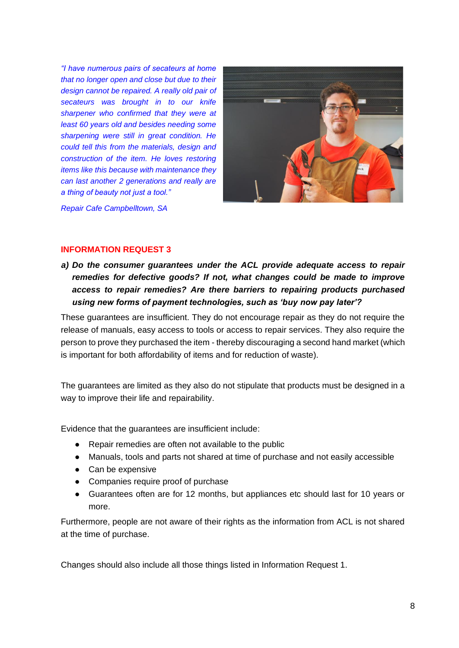*"I have numerous pairs of secateurs at home that no longer open and close but due to their design cannot be repaired. A really old pair of secateurs was brought in to our knife sharpener who confirmed that they were at least 60 years old and besides needing some sharpening were still in great condition. He could tell this from the materials, design and construction of the item. He loves restoring items like this because with maintenance they can last another 2 generations and really are a thing of beauty not just a tool."*



*Repair Cafe Campbelltown, SA*

#### **INFORMATION REQUEST 3**

*a) Do the consumer guarantees under the ACL provide adequate access to repair remedies for defective goods? If not, what changes could be made to improve access to repair remedies? Are there barriers to repairing products purchased using new forms of payment technologies, such as 'buy now pay later'?*

These guarantees are insufficient. They do not encourage repair as they do not require the release of manuals, easy access to tools or access to repair services. They also require the person to prove they purchased the item - thereby discouraging a second hand market (which is important for both affordability of items and for reduction of waste).

The guarantees are limited as they also do not stipulate that products must be designed in a way to improve their life and repairability.

Evidence that the guarantees are insufficient include:

- Repair remedies are often not available to the public
- Manuals, tools and parts not shared at time of purchase and not easily accessible
- Can be expensive
- Companies require proof of purchase
- Guarantees often are for 12 months, but appliances etc should last for 10 years or more.

Furthermore, people are not aware of their rights as the information from ACL is not shared at the time of purchase.

Changes should also include all those things listed in Information Request 1.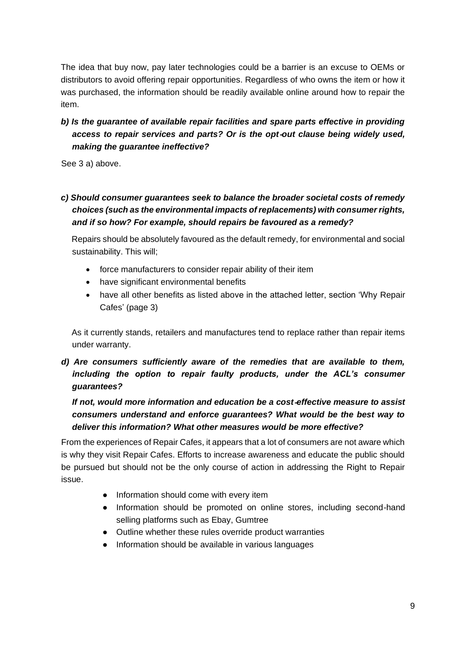The idea that buy now, pay later technologies could be a barrier is an excuse to OEMs or distributors to avoid offering repair opportunities. Regardless of who owns the item or how it was purchased, the information should be readily available online around how to repair the item.

# *b) Is the guarantee of available repair facilities and spare parts effective in providing access to repair services and parts? Or is the opt*‑*out clause being widely used, making the guarantee ineffective?*

See 3 a) above.

# *c) Should consumer guarantees seek to balance the broader societal costs of remedy choices (such as the environmental impacts of replacements) with consumer rights, and if so how? For example, should repairs be favoured as a remedy?*

Repairs should be absolutely favoured as the default remedy, for environmental and social sustainability. This will;

- force manufacturers to consider repair ability of their item
- have significant environmental benefits
- have all other benefits as listed above in the attached letter, section 'Why Repair Cafes' (page 3)

As it currently stands, retailers and manufactures tend to replace rather than repair items under warranty.

*d) Are consumers sufficiently aware of the remedies that are available to them,*  including the option to repair faulty products, under the ACL's consumer *guarantees?*

# *If not, would more information and education be a cost*‑*effective measure to assist consumers understand and enforce guarantees? What would be the best way to deliver this information? What other measures would be more effective?*

From the experiences of Repair Cafes, it appears that a lot of consumers are not aware which is why they visit Repair Cafes. Efforts to increase awareness and educate the public should be pursued but should not be the only course of action in addressing the Right to Repair issue.

- Information should come with every item
- Information should be promoted on online stores, including second-hand selling platforms such as Ebay, Gumtree
- Outline whether these rules override product warranties
- Information should be available in various languages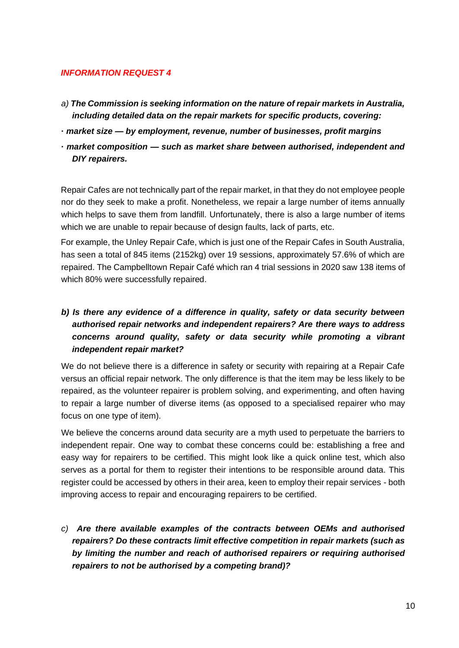#### *INFORMATION REQUEST 4*

- *a) The Commission is seeking information on the nature of repair markets in Australia, including detailed data on the repair markets for specific products, covering:*
- **·** *market size — by employment, revenue, number of businesses, profit margins*
- **·** *market composition — such as market share between authorised, independent and DIY repairers.*

Repair Cafes are not technically part of the repair market, in that they do not employee people nor do they seek to make a profit. Nonetheless, we repair a large number of items annually which helps to save them from landfill. Unfortunately, there is also a large number of items which we are unable to repair because of design faults, lack of parts, etc.

For example, the Unley Repair Cafe, which is just one of the Repair Cafes in South Australia, has seen a total of 845 items (2152kg) over 19 sessions, approximately 57.6% of which are repaired. The Campbelltown Repair Café which ran 4 trial sessions in 2020 saw 138 items of which 80% were successfully repaired.

# *b) Is there any evidence of a difference in quality, safety or data security between authorised repair networks and independent repairers? Are there ways to address concerns around quality, safety or data security while promoting a vibrant independent repair market?*

We do not believe there is a difference in safety or security with repairing at a Repair Cafe versus an official repair network. The only difference is that the item may be less likely to be repaired, as the volunteer repairer is problem solving, and experimenting, and often having to repair a large number of diverse items (as opposed to a specialised repairer who may focus on one type of item).

We believe the concerns around data security are a myth used to perpetuate the barriers to independent repair. One way to combat these concerns could be: establishing a free and easy way for repairers to be certified. This might look like a quick online test, which also serves as a portal for them to register their intentions to be responsible around data. This register could be accessed by others in their area, keen to employ their repair services - both improving access to repair and encouraging repairers to be certified.

*c) Are there available examples of the contracts between OEMs and authorised repairers? Do these contracts limit effective competition in repair markets (such as by limiting the number and reach of authorised repairers or requiring authorised repairers to not be authorised by a competing brand)?*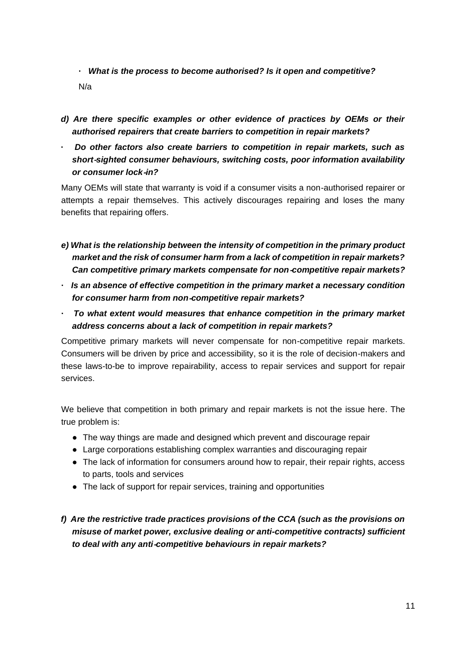**·** *What is the process to become authorised? Is it open and competitive?* N/a

- *d) Are there specific examples or other evidence of practices by OEMs or their authorised repairers that create barriers to competition in repair markets?*
- **·** *Do other factors also create barriers to competition in repair markets, such as short*‑*sighted consumer behaviours, switching costs, poor information availability or consumer lock*‑*in?*

Many OEMs will state that warranty is void if a consumer visits a non-authorised repairer or attempts a repair themselves. This actively discourages repairing and loses the many benefits that repairing offers.

- *e) What is the relationship between the intensity of competition in the primary product market and the risk of consumer harm from a lack of competition in repair markets? Can competitive primary markets compensate for non*‑*competitive repair markets?*
- **·** *Is an absence of effective competition in the primary market a necessary condition for consumer harm from non*‑*competitive repair markets?*
- **·** *To what extent would measures that enhance competition in the primary market address concerns about a lack of competition in repair markets?*

Competitive primary markets will never compensate for non-competitive repair markets. Consumers will be driven by price and accessibility, so it is the role of decision-makers and these laws-to-be to improve repairability, access to repair services and support for repair services.

We believe that competition in both primary and repair markets is not the issue here. The true problem is:

- The way things are made and designed which prevent and discourage repair
- Large corporations establishing complex warranties and discouraging repair
- The lack of information for consumers around how to repair, their repair rights, access to parts, tools and services
- The lack of support for repair services, training and opportunities
- *f) Are the restrictive trade practices provisions of the CCA (such as the provisions on misuse of market power, exclusive dealing or anti-competitive contracts) sufficient to deal with any anti*‑*competitive behaviours in repair markets?*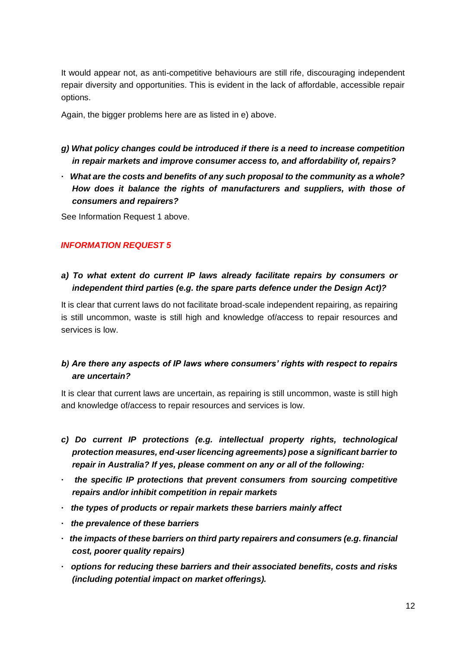It would appear not, as anti-competitive behaviours are still rife, discouraging independent repair diversity and opportunities. This is evident in the lack of affordable, accessible repair options.

Again, the bigger problems here are as listed in e) above.

- *g) What policy changes could be introduced if there is a need to increase competition in repair markets and improve consumer access to, and affordability of, repairs?*
- **·** *What are the costs and benefits of any such proposal to the community as a whole? How does it balance the rights of manufacturers and suppliers, with those of consumers and repairers?*

See Information Request 1 above.

### *INFORMATION REQUEST 5*

## *a) To what extent do current IP laws already facilitate repairs by consumers or independent third parties (e.g. the spare parts defence under the Design Act)?*

It is clear that current laws do not facilitate broad-scale independent repairing, as repairing is still uncommon, waste is still high and knowledge of/access to repair resources and services is low.

## *b) Are there any aspects of IP laws where consumers' rights with respect to repairs are uncertain?*

It is clear that current laws are uncertain, as repairing is still uncommon, waste is still high and knowledge of/access to repair resources and services is low.

- *c) Do current IP protections (e.g. intellectual property rights, technological protection measures, end*‑*user licencing agreements) pose a significant barrier to repair in Australia? If yes, please comment on any or all of the following:*
- **·** *the specific IP protections that prevent consumers from sourcing competitive repairs and/or inhibit competition in repair markets*
- **·** *the types of products or repair markets these barriers mainly affect*
- **·** *the prevalence of these barriers*
- **·** *the impacts of these barriers on third party repairers and consumers (e.g. financial cost, poorer quality repairs)*
- **·** *options for reducing these barriers and their associated benefits, costs and risks (including potential impact on market offerings).*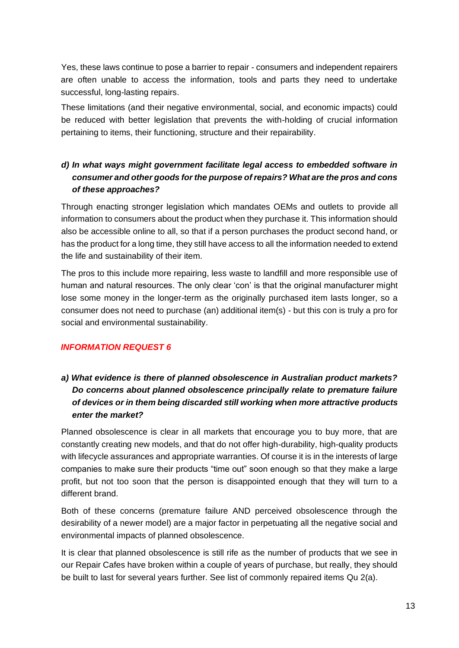Yes, these laws continue to pose a barrier to repair - consumers and independent repairers are often unable to access the information, tools and parts they need to undertake successful, long-lasting repairs.

These limitations (and their negative environmental, social, and economic impacts) could be reduced with better legislation that prevents the with-holding of crucial information pertaining to items, their functioning, structure and their repairability.

# *d) In what ways might government facilitate legal access to embedded software in consumer and other goods for the purpose of repairs? What are the pros and cons of these approaches?*

Through enacting stronger legislation which mandates OEMs and outlets to provide all information to consumers about the product when they purchase it. This information should also be accessible online to all, so that if a person purchases the product second hand, or has the product for a long time, they still have access to all the information needed to extend the life and sustainability of their item.

The pros to this include more repairing, less waste to landfill and more responsible use of human and natural resources. The only clear 'con' is that the original manufacturer might lose some money in the longer-term as the originally purchased item lasts longer, so a consumer does not need to purchase (an) additional item(s) - but this con is truly a pro for social and environmental sustainability.

### *INFORMATION REQUEST 6*

# *a) What evidence is there of planned obsolescence in Australian product markets? Do concerns about planned obsolescence principally relate to premature failure of devices or in them being discarded still working when more attractive products enter the market?*

Planned obsolescence is clear in all markets that encourage you to buy more, that are constantly creating new models, and that do not offer high-durability, high-quality products with lifecycle assurances and appropriate warranties. Of course it is in the interests of large companies to make sure their products "time out" soon enough so that they make a large profit, but not too soon that the person is disappointed enough that they will turn to a different brand.

Both of these concerns (premature failure AND perceived obsolescence through the desirability of a newer model) are a major factor in perpetuating all the negative social and environmental impacts of planned obsolescence.

It is clear that planned obsolescence is still rife as the number of products that we see in our Repair Cafes have broken within a couple of years of purchase, but really, they should be built to last for several years further. See list of commonly repaired items Qu 2(a).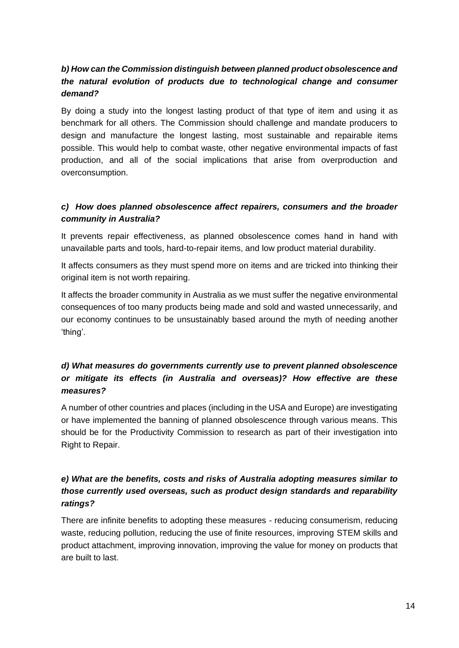# *b) How can the Commission distinguish between planned product obsolescence and the natural evolution of products due to technological change and consumer demand?*

By doing a study into the longest lasting product of that type of item and using it as benchmark for all others. The Commission should challenge and mandate producers to design and manufacture the longest lasting, most sustainable and repairable items possible. This would help to combat waste, other negative environmental impacts of fast production, and all of the social implications that arise from overproduction and overconsumption.

### *c) How does planned obsolescence affect repairers, consumers and the broader community in Australia?*

It prevents repair effectiveness, as planned obsolescence comes hand in hand with unavailable parts and tools, hard-to-repair items, and low product material durability.

It affects consumers as they must spend more on items and are tricked into thinking their original item is not worth repairing.

It affects the broader community in Australia as we must suffer the negative environmental consequences of too many products being made and sold and wasted unnecessarily, and our economy continues to be unsustainably based around the myth of needing another 'thing'.

# *d) What measures do governments currently use to prevent planned obsolescence or mitigate its effects (in Australia and overseas)? How effective are these measures?*

A number of other countries and places (including in the USA and Europe) are investigating or have implemented the banning of planned obsolescence through various means. This should be for the Productivity Commission to research as part of their investigation into Right to Repair.

# *e) What are the benefits, costs and risks of Australia adopting measures similar to those currently used overseas, such as product design standards and reparability ratings?*

There are infinite benefits to adopting these measures - reducing consumerism, reducing waste, reducing pollution, reducing the use of finite resources, improving STEM skills and product attachment, improving innovation, improving the value for money on products that are built to last.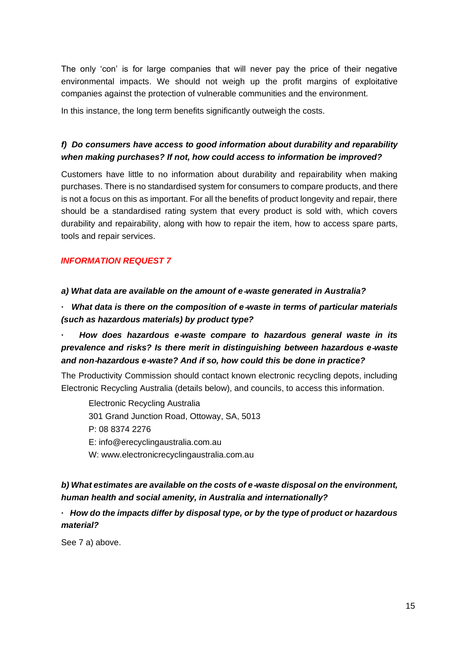The only 'con' is for large companies that will never pay the price of their negative environmental impacts. We should not weigh up the profit margins of exploitative companies against the protection of vulnerable communities and the environment.

In this instance, the long term benefits significantly outweigh the costs.

## *f) Do consumers have access to good information about durability and reparability when making purchases? If not, how could access to information be improved?*

Customers have little to no information about durability and repairability when making purchases. There is no standardised system for consumers to compare products, and there is not a focus on this as important. For all the benefits of product longevity and repair, there should be a standardised rating system that every product is sold with, which covers durability and repairability, along with how to repair the item, how to access spare parts, tools and repair services.

### *INFORMATION REQUEST 7*

*a) What data are available on the amount of e*‑*waste generated in Australia?*

**·** *What data is there on the composition of e*‑*waste in terms of particular materials (such as hazardous materials) by product type?*

# **·** *How does hazardous e*‑*waste compare to hazardous general waste in its prevalence and risks? Is there merit in distinguishing between hazardous e*‑*waste and non*‑*hazardous e*‑*waste? And if so, how could this be done in practice?*

The Productivity Commission should contact known electronic recycling depots, including Electronic Recycling Australia (details below), and councils, to access this information.

Electronic Recycling Australia [301 Grand Junction Road, Ottoway, SA, 5013](https://goo.gl/maps/8snLuDYuWFaa7LQ87) P: 08 8374 2276 E: info@erecyclingaustralia.com.au W: www[.electronicrecyclingaustralia.com.au](https://electronicrecyclingaustralia.com.au/)

# *b) What estimates are available on the costs of e*‑*waste disposal on the environment, human health and social amenity, in Australia and internationally?*

## **·** *How do the impacts differ by disposal type, or by the type of product or hazardous material?*

See 7 a) above.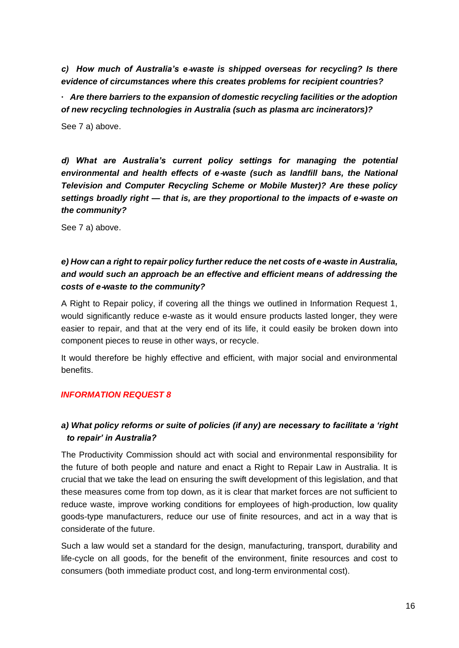*c) How much of Australia's e*‑*waste is shipped overseas for recycling? Is there evidence of circumstances where this creates problems for recipient countries?* **·** *Are there barriers to the expansion of domestic recycling facilities or the adoption* 

*of new recycling technologies in Australia (such as plasma arc incinerators)?* See 7 a) above.

*d) What are Australia's current policy settings for managing the potential environmental and health effects of e*‑*waste (such as landfill bans, the National Television and Computer Recycling Scheme or Mobile Muster)? Are these policy settings broadly right — that is, are they proportional to the impacts of e*‑*waste on the community?*

See 7 a) above.

# *e) How can a right to repair policy further reduce the net costs of e-waste in Australia, and would such an approach be an effective and efficient means of addressing the costs of e*‑*waste to the community?*

A Right to Repair policy, if covering all the things we outlined in Information Request 1, would significantly reduce e-waste as it would ensure products lasted longer, they were easier to repair, and that at the very end of its life, it could easily be broken down into component pieces to reuse in other ways, or recycle.

It would therefore be highly effective and efficient, with major social and environmental benefits.

#### *INFORMATION REQUEST 8*

# *a) What policy reforms or suite of policies (if any) are necessary to facilitate a 'right to repair' in Australia?*

The Productivity Commission should act with social and environmental responsibility for the future of both people and nature and enact a Right to Repair Law in Australia. It is crucial that we take the lead on ensuring the swift development of this legislation, and that these measures come from top down, as it is clear that market forces are not sufficient to reduce waste, improve working conditions for employees of high-production, low quality goods-type manufacturers, reduce our use of finite resources, and act in a way that is considerate of the future.

Such a law would set a standard for the design, manufacturing, transport, durability and life-cycle on all goods, for the benefit of the environment, finite resources and cost to consumers (both immediate product cost, and long-term environmental cost).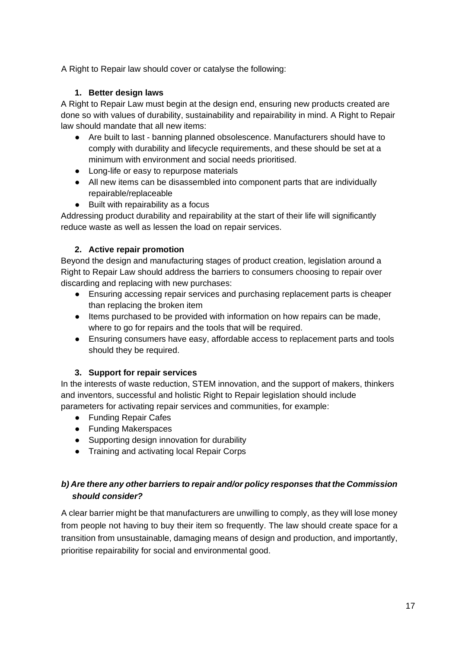A Right to Repair law should cover or catalyse the following:

### **1. Better design laws**

A Right to Repair Law must begin at the design end, ensuring new products created are done so with values of durability, sustainability and repairability in mind. A Right to Repair law should mandate that all new items:

- Are built to last banning planned obsolescence. Manufacturers should have to comply with durability and lifecycle requirements, and these should be set at a minimum with environment and social needs prioritised.
- Long-life or easy to repurpose materials
- All new items can be disassembled into component parts that are individually repairable/replaceable
- Built with repairability as a focus

Addressing product durability and repairability at the start of their life will significantly reduce waste as well as lessen the load on repair services.

### **2. Active repair promotion**

Beyond the design and manufacturing stages of product creation, legislation around a Right to Repair Law should address the barriers to consumers choosing to repair over discarding and replacing with new purchases:

- Ensuring accessing repair services and purchasing replacement parts is cheaper than replacing the broken item
- Items purchased to be provided with information on how repairs can be made, where to go for repairs and the tools that will be required.
- Ensuring consumers have easy, affordable access to replacement parts and tools should they be required.

### **3. Support for repair services**

In the interests of waste reduction, STEM innovation, and the support of makers, thinkers and inventors, successful and holistic Right to Repair legislation should include parameters for activating repair services and communities, for example:

- Funding Repair Cafes
- Funding Makerspaces
- Supporting design innovation for durability
- Training and activating local Repair Corps

## *b) Are there any other barriers to repair and/or policy responses that the Commission should consider?*

A clear barrier might be that manufacturers are unwilling to comply, as they will lose money from people not having to buy their item so frequently. The law should create space for a transition from unsustainable, damaging means of design and production, and importantly, prioritise repairability for social and environmental good.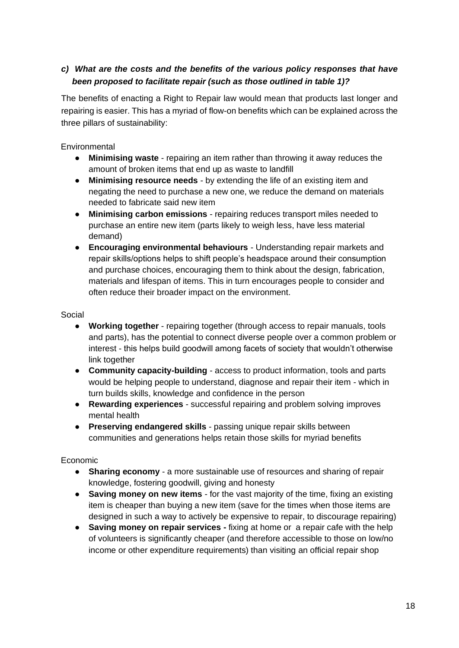## *c) What are the costs and the benefits of the various policy responses that have been proposed to facilitate repair (such as those outlined in table 1)?*

The benefits of enacting a Right to Repair law would mean that products last longer and repairing is easier. This has a myriad of flow-on benefits which can be explained across the three pillars of sustainability:

**Environmental** 

- **Minimising waste** repairing an item rather than throwing it away reduces the amount of broken items that end up as waste to landfill
- **Minimising resource needs** by extending the life of an existing item and negating the need to purchase a new one, we reduce the demand on materials needed to fabricate said new item
- **Minimising carbon emissions** repairing reduces transport miles needed to purchase an entire new item (parts likely to weigh less, have less material demand)
- **Encouraging environmental behaviours** Understanding repair markets and repair skills/options helps to shift people's headspace around their consumption and purchase choices, encouraging them to think about the design, fabrication, materials and lifespan of items. This in turn encourages people to consider and often reduce their broader impact on the environment.

Social

- **Working together** repairing together (through access to repair manuals, tools and parts), has the potential to connect diverse people over a common problem or interest - this helps build goodwill among facets of society that wouldn't otherwise link together
- **Community capacity-building** access to product information, tools and parts would be helping people to understand, diagnose and repair their item - which in turn builds skills, knowledge and confidence in the person
- **Rewarding experiences**  successful repairing and problem solving improves mental health
- **Preserving endangered skills** passing unique repair skills between communities and generations helps retain those skills for myriad benefits

Economic

- **Sharing economy** a more sustainable use of resources and sharing of repair knowledge, fostering goodwill, giving and honesty
- **Saving money on new items** for the vast majority of the time, fixing an existing item is cheaper than buying a new item (save for the times when those items are designed in such a way to actively be expensive to repair, to discourage repairing)
- **Saving money on repair services -** fixing at home or a repair cafe with the help of volunteers is significantly cheaper (and therefore accessible to those on low/no income or other expenditure requirements) than visiting an official repair shop